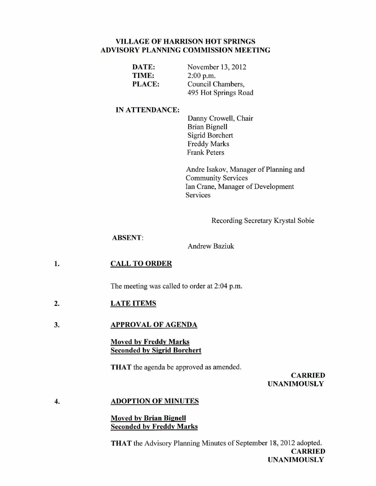# **VILLAGE OF HARRISON HOT SPRINGS ADVISORY PLANNING COMMISSION MEETING**

| DATE:         | November 13, 2012    |
|---------------|----------------------|
| TIME:         | $2:00$ p.m.          |
| <b>PLACE:</b> | Council Chambers,    |
|               | 495 Hot Springs Road |

### **IN ATTENDANCE:**

Danny Crowell, Chair Brian Bignell Sigrid Borchert Freddy Marks Frank Peters

Andre Isakov, Manager of Planning and Community Services Ian Crane, Manager of Development Services

Recording Secretary Krystal Sobie

# **ABSENT:**

Andrew Baziuk

#### **1. CALL TO ORDER**

The meeting was called to order at 2:04 p.m.

- **2. LATE ITEMS**
- 3. **APPROVAL OF AGENDA**

# **Moved by Freddy Marks Seconded by Sigrid Borchert**

**THAT** the agenda be approved as amended.

**CARRIED UNANIMOUSLY** 

#### **4. ADOPTION OF MINUTES**

**Moved by Brian Bignell Seconded by Freddy Marks** 

**THAT** the Advisory Planning Minutes of September 18, 2012 adopted. **CARRIED UNANIMOUSLY**